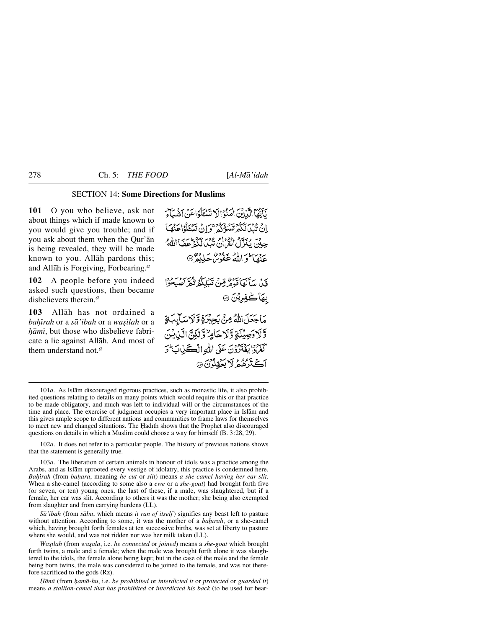## SECTION 14: **Some Directions for Muslims**

**101** O you who believe, ask not about things which if made known to you would give you trouble; and if you ask about them when the Qur'ån is being revealed, they will be made known to you. Allåh pardons this; and Allåh is Forgiving, Forbearing.*<sup>a</sup>*

**102** A people before you indeed asked such questions, then became disbelievers therein.*<sup>a</sup>*

**103** Allåh has not ordained a *baħrah* or a *så'ibah* or a *wa©ßlah* or a *ƒåmß*, but those who disbelieve fabricate a lie against Allåh. And most of them understand not.*<sup>a</sup>*

نَآيَّهُمَّا الَّذِينَ اٰمَنُوْالَا تَسْتَلَوُاعَنَ ٱشْبَاءَ انْ يْبْدَنْكُمْ تَسْؤَكُمْ وَإِنْ سَنَاؤُا عَنْهَا حِينَ بِمَدَّلِّهُمْ أَنْقُرْنَ مَثَيْنَا لَكَمْ عَفَىٰٓاللَّهُ ۚ يزدي احترالله عفوم كردون<br>عنها والله غفوم كريفر @ قَبْنِ سَأَلَهَا قَوْمُرِ مِنْ قَبَلِكُمُ نُعَرِّ اصْبِحُوا بهاكفويتن ۞ مَاجَعَلَ اللَّهُ مِنَّ بَجِيْرَةٍ وَّ لَاسَالِبَةٍ وَّلَا دَصِيْلَةٍ وَّلَا حَامِرٌ وَّلَٰكِنَّ الَّذِيشَ كَفَرُوْا يَفْتَرُوْنَ عَلَى اللَّهِ الْكَتَلِ بِالْحَمْرِينَ أثج تردو د أدينواد.<br>أثج ترهم لا يغولون ۞

102*a*. It does not refer to a particular people. The history of previous nations shows that the statement is generally true.

103*a*. The liberation of certain animals in honour of idols was a practice among the Arabs, and as Islåm uprooted every vestige of idolatry, this practice is condemned here. *Baçrah* (from *ba√ara*, meaning *he cut* or *slit*) means *a she-camel having her ear slit*. When a she-camel (according to some also a *ewe* or a *she-goat*) had brought forth five (or seven, or ten) young ones, the last of these, if a male, was slaughtered, but if a female, her ear was slit. According to others it was the mother; she being also exempted from slaughter and from carrying burdens (LL).

*Så'ibah* (from *såba*, which means *it ran of itself*) signifies any beast left to pasture without attention. According to some, it was the mother of a *bahirah*, or a she-camel which, having brought forth females at ten successive births, was set at liberty to pasture where she would, and was not ridden nor was her milk taken (LL).

*Wa©ßlah* (from *wa©ala*, i.e. *he connected* or *joined*) means a *she-goat* which brought forth twins, a male and a female; when the male was brought forth alone it was slaughtered to the idols, the female alone being kept; but in the case of the male and the female being born twins, the male was considered to be joined to the female, and was not therefore sacrificed to the gods (Rz).

*Ïåmß* (from *√amå-hu*, i.e. *be prohibited* or *interdicted it* or *protected* or *guarded it*) means *a stallion-camel that has prohibited* or *interdicted his back* (to be used for bear-

<sup>101</sup>*a*. As Islåm discouraged rigorous practices, such as monastic life, it also prohibited questions relating to details on many points which would require this or that practice to be made obligatory, and much was left to individual will or the circumstances of the time and place. The exercise of judgment occupies a very important place in Islåm and this gives ample scope to different nations and communities to frame laws for themselves to meet new and changed situations. The Hadith shows that the Prophet also discouraged questions on details in which a Muslim could choose a way for himself (B. 3:28, 29).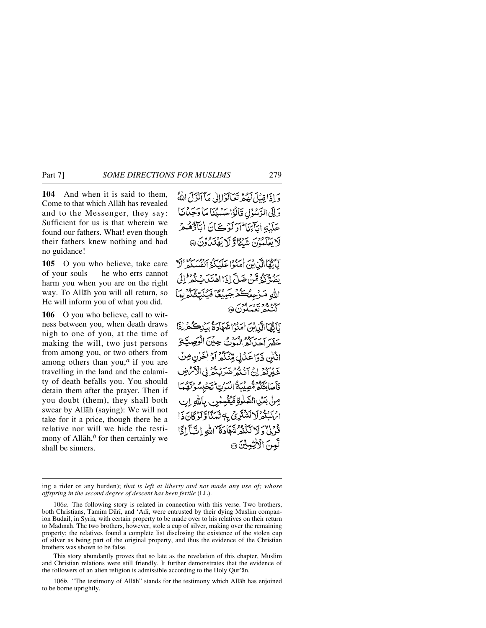**104** And when it is said to them, Come to that which Allåh has revealed and to the Messenger, they say: Sufficient for us is that wherein we found our fathers. What! even though their fathers knew nothing and had no guidance!

**105** O you who believe, take care of your souls — he who errs cannot harm you when you are on the right way. To Allåh you will all return, so He will inform you of what you did.

**106** O you who believe, call to witness between you, when death draws nigh to one of you, at the time of making the will, two just persons from among you, or two others from among others than you,*<sup>a</sup>* if you are travelling in the land and the calamity of death befalls you. You should detain them after the prayer. Then if you doubt (them), they shall both swear by Allåh (saying): We will not take for it a price, though there be a relative nor will we hide the testimony of Allāh, $<sup>b</sup>$  for then certainly we</sup> shall be sinners.

دَ إِذَا قِبْلَ لَهُمْ تَعَالَوْإِإِلَى مَا آَنُزَلَ اللَّهُ وَإِلَى الرَّسُوْلِ قَالَوْاحَسْبُنَا مَا دَجَدْنَا عَلَيْهِ اٰبِآءَنَا ۖ اَدَلَوۡ کَےَانَ اٰبَآؤُهُمۡ مِّ لَا يَعْلَمُونَ شَيْئًا وَّلَا يَهْتَدُّوْنَ ۞

نَاتِّهَاإِلَّيْ بِبَرِ إِمَدُوْا عَلَيْكُمْ أَنْفُسَكُمْ ۚ لَا بِهِ فَيَكُمْ قَدْبُرِ ضَالَّ إِذَا اهْتَدَ، بِهُمْ فَلَمْ الله مَرْجِعُكُمْ جَيْنُغًا فَيُنْتِجُ ره د ود ورود.<br>کېڅنگو تعلیکون ۱۰

آَأَهُمَاإِلَّذِينَ إِصَرْا شَعَادَةُ مَنْڪُمْ لِذَا حضر احراكه المذمي حدين الوصيفيق اثنن ذَدَاعَدُلِ مِنْنَكُمْ أَدْ الْحَرْنِ مِنْ عَبْدَرُهُمْ إِنْ آدْيَةُ حَيَدَتِهُمْ فِي الْأَسْرَ فأصابحكم مقصليكة البوت انتحله صِنِّي بِعَيْنِ الصَّلَوةِ فَيُقْسِلُونَ بِاللَّهِ إِن ارسوه ولا نَتَشْتَرِي بِهَا نَهَيْنَا وَكَنْ كَانَ ذَا قُدِي وَلَا نَكْنُهُ شَهْاَدَةَ ٚ اللهِ إِنَّجَ إِكَّا لَّعِينَ الْأَرْضِيِّينَ ۞

This story abundantly proves that so late as the revelation of this chapter, Muslim and Christian relations were still friendly. It further demonstrates that the evidence of the followers of an alien religion is admissible according to the Holy Qur'ån.

106*b*. "The testimony of Allåh" stands for the testimony which Allåh has enjoined to be borne uprightly.

ing a rider or any burden); *that is left at liberty and not made any use of; whose offspring in the second degree of descent has been fertile* (LL).

<sup>106</sup>*a*. The following story is related in connection with this verse. Two brothers, both Christians, Tamim Dārī, and 'Adī, were entrusted by their dying Muslim companion Budail, in Syria, with certain property to be made over to his relatives on their return to Madinah. The two brothers, however, stole a cup of silver, making over the remaining property; the relatives found a complete list disclosing the existence of the stolen cup of silver as being part of the original property, and thus the evidence of the Christian brothers was shown to be false.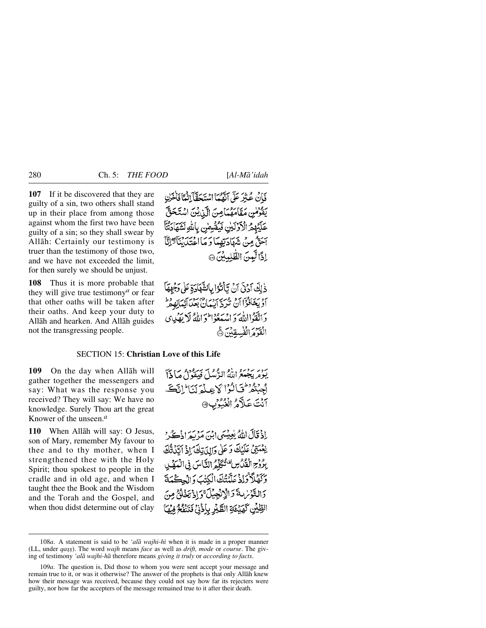**107** If it be discovered that they are guilty of a sin, two others shall stand up in their place from among those against whom the first two have been guilty of a sin; so they shall swear by Allåh: Certainly our testimony is truer than the testimony of those two, and we have not exceeded the limit, for then surely we should be unjust.

**108** Thus it is more probable that they will give true testimony*<sup>a</sup>* or fear that other oaths will be taken after their oaths. And keep your duty to Allåh and hearken. And Allåh guides not the transgressing people.

فَإِنْ عُنِيْرَ عَلَّى ٱبْقَعْهَا اسْتَحَقَّآ إِنَّمَآ فَأَخَرْنِ يَقْوَمُنِ مَقَامَهُمَامِنَ الَّذِينَ اسْتَحَقَّ عَلَيْهِمْ الْأَذْلَيْنِ فَيُقْسِسْ بِاللَّهِ لَشَهَادَ آخَتُّ مِنْ شَهَادَتِهِمَا وَمَا اخْتَدَيْنَآَدَلَّا إذًا لَّعِينَ الطَّلِّعِينَ ۞

دْلِكَ أَدُنَّى أَنْ تَأْتُرُوا بِالشَّهَادَةِ عَلَى وَجَهِهَآ أَوْ يَحْاَدُوْاً أَنْ تَرَدَّ أَيْبِيَانٌ بِعَبَدَ أَيِّمَانِهِ مِرْ وَاتَّقَوْااللَّهَ وَاسْهَعُوْاطُوَاللَّهُ لَا يَقْدِيهِي الْقَدْمَ الْفُسِقِينَ ١٥

## SECTION 15: **Christian Love of this Life**

**109** On the day when Allåh will gather together the messengers and say: What was the response you received? They will say: We have no knowledge. Surely Thou art the great Knower of the unseen.*<sup>a</sup>*

**110** When Allåh will say: O Jesus, son of Mary, remember My favour to thee and to thy mother, when I strengthened thee with the Holy Spirit; thou spokest to people in the cradle and in old age, and when I taught thee the Book and the Wisdom and the Torah and the Gospel, and when thou didst determine out of clay

سوسر سوسرو (ماه الدُّمَل) في قد السياسي في 13<br>يومر يجيد الله الدُّمكيّ في قد الصحافيّ اجبتمر فالزالا علم لنا الكف من عَلاَهُ الْعَيْوَبِ@

إِذْ قَالَ اللَّهُ يُعِيسَى ابْنَ مَرْبَعَ اذْكُرْ نِعْمَتِيْ عَلَيْكَ وَعَلَى وَإِلِيَ تِكَ ۗ إِذۡ آتِيۡنَتَّكَ بِرُوْحِ الْفَيْدُسِ فَتُكَلَّمُ النَّاسَ فِي الْمَهْكِي وَكَهْلاً وَإِذْ عَلَّمْتُكَ الْكِتْبَ وَالْحِكْمَةَ دَالتَّوْسُ عَدَ الْإِنْجِيلَ وَإِذْ تَخَلُقُ مِنَ الطِّيْنِ كَهَيْعَةِ الطَّيْرِ بِإِذْنِي فَتَنْفُجُ فِيهَا

<sup>108</sup>*a*. A statement is said to be *'alå wajhi-hß* when it is made in a proper manner (LL, under *qass*). The word *wajh* means *face* as well as *drift, mode* or *course*. The giving of testimony *'alå wajhi-hå* therefore means *giving it truly* or *according to facts*.

<sup>109</sup>*a*. The question is, Did those to whom you were sent accept your message and remain true to it, or was it otherwise? The answer of the prophets is that only Allåh knew how their message was received, because they could not say how far its rejecters were guilty, nor how far the accepters of the message remained true to it after their death.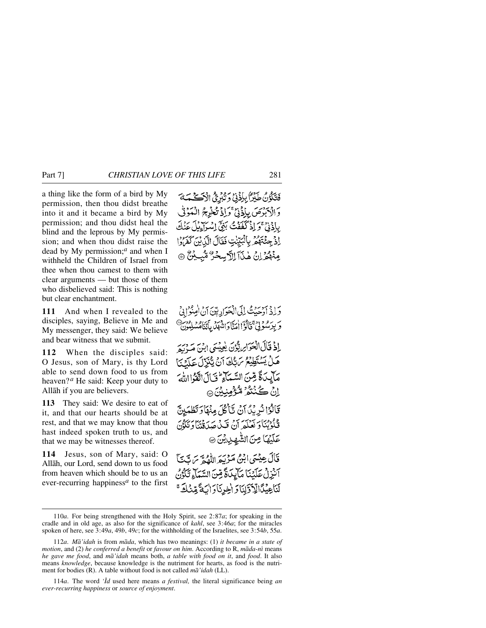a thing like the form of a bird by My permission, then thou didst breathe into it and it became a bird by My permission; and thou didst heal the blind and the leprous by My permission; and when thou didst raise the dead by My permission;*<sup>a</sup>* and when I withheld the Children of Israel from thee when thou camest to them with clear arguments — but those of them who disbelieved said: This is nothing but clear enchantment.

**111** And when I revealed to the disciples, saying, Believe in Me and My messenger, they said: We believe and bear witness that we submit.

**112** When the disciples said: O Jesus, son of Mary, is thy Lord able to send down food to us from heaven?*<sup>a</sup>* He said: Keep your duty to Allåh if you are believers.

**113** They said: We desire to eat of it, and that our hearts should be at rest, and that we may know that thou hast indeed spoken truth to us, and that we may be witnesses thereof.

**114** Jesus, son of Mary, said: O Allåh, our Lord, send down to us food from heaven which should be to us an ever-recurring happiness*<sup>a</sup>* to the first

فَتَكُوْنُ طَيْرًا بِإِذْنِي وَتُبُرِئُ الْآكَ يَمَهُ وَالْأَبْدِّصَ بِإِذْنِيٌّ وَإِذْ تُخْرِجُ الْمَوْتَى بِادْنِي گَوَ إِذْ كَفَفْتُ بَيْئَ إِسْبَاطِيلَ ءَ اِذْ جِئْتَهُمْ بِالْبَيِّنْتِ فَقَالَ الَّذِينَ كَفَرَوْا مِنْهُمُّ إِنِّ هٰذَآ اِلَّ سِخْرٌ مُّبِيْنٌ ۞

وَإِذْ آدَ حَيْثُ إِلَى الْحَوَادِبِينَ آنُ الْمِنْوَا بِيْ وَ بِدَسْوَنِيٌّ قَالَوْاً أَمَيَّاً وَانْتُهَلَّ مِآَتِيَاًهُمْهُ إِذْ قَالَ الْعَوَارِ يَّبُوْنَ يُعِيسَى ابْنَ مَهْ دِيرَ هَلْ يَسْتَطِيْعُ سَبّْكَ آنْ يَتَّبَرَّلَ عَلَيْنَا مَأْيِدَةً مِّنَ السَّمَآءِ ۚ فَالَ اتَّقَوْا اللَّهَ اِنْ ڪُنُٽُمُ مُّؤْمِنِيْنَ ۞ قَالُوْانُرِيْنَ آنْ تَأْكُلَ مِنْهَا وَتَطْهَيِنَّ قُلُوْثِنَا وَ بَعْلَمَ أَنْ قَبِّلْ صَدَقَتِنَا وَتَكُوْنَ عَلَيْهَا مِنَ الشَّهِدِينِينَ ۞ قَالَ عِيْسَى ابْنُ مَرْيَهَ اللَّهُمَّ سَ بَّنَآ آَنْزِلْ عَلَيْنَا مَآيِدَةً قِنَ السَّمَآءِ تَكْوُنَ لَنَاعِيْنَالِّلاَدَّلِنَا وَ اخِرِنَا وَ الْبَةَّ مِّنْكَهَ

<sup>110</sup>*a*. For being strengthened with the Holy Spirit, see 2:87*a*; for speaking in the cradle and in old age, as also for the significance of *kahl*, see 3:46*a*; for the miracles spoken of here, see 3:49*a*, 49*b*, 49*c*; for the withholding of the Israelites, see 3:54*b*, 55*a*.

<sup>112</sup>*a*. *Må'idah* is from *måda*, which has two meanings: (1) *it became in a state of motion*, and (2) *he conferred a benefit* or *favour on him*. According to R, *måda-nß* means *he gave me food*, and *må'idah* means both, *a table with food on it*, and *food*. It also means *knowledge*, because knowledge is the nutriment for hearts, as food is the nutriment for bodies (R). A table without food is not called *må'idah* (LL).

<sup>114</sup>*a*. The word *'Íd* used here means *a festival,* the literal significance being *an ever-recurring happiness* or *source of enjoyment*.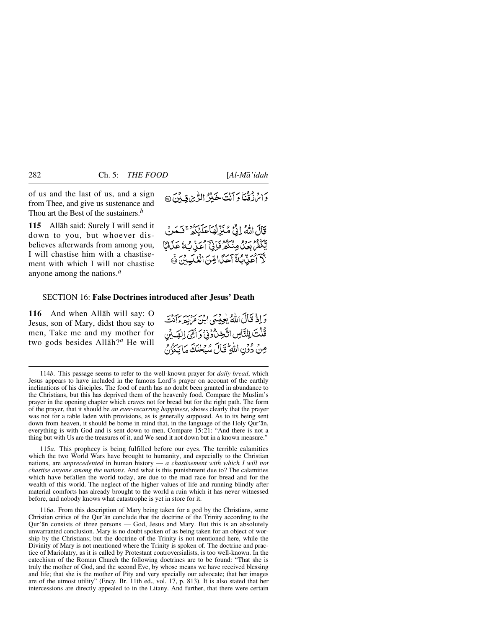of us and the last of us, and a sign from Thee, and give us sustenance and Thou art the Best of the sustainers.*<sup>b</sup>*

**115** Allåh said: Surely I will send it down to you, but whoever disbelieves afterwards from among you, I will chastise him with a chastisement with which I will not chastise anyone among the nations.*<sup>a</sup>*

دَامْ زْقْنَا وَأَنْتَ خَيْرُ الرّْيزِيقِينَ@

قَالَ اللَّهُ إِنَّيْ مُنَزِّلُهَا عَلَيْكُمْ ۚ فَيَعَدِي ڽ<br>ؾػڡ*۫ڹ*ڡۮؙڡۣڹٛػۮۏؘٳ؈ۣٚٲٷڹٙۨڔؙػ لَّا أَعَنِّ بِهَ أَحَدًّا قِنَّ الْنُكْسِينَ \*

## SECTION 16: **False Doctrines introduced after Jesus' Death**

**116** And when Allåh will say: O Jesus, son of Mary, didst thou say to men, Take me and my mother for two gods besides Allåh?*<sup>a</sup>* He will

وَ إِذْ قَالَ اللَّهُ يُعِيبُهِيَ ابْنَ مَرْبِهِ ءَامْتَهِ قُلْتَ لِلتَّاسِ اتَّخِنَّ وَفِي وَ أَمِّيَ الصَّلِي مِنْ دُوْنِ اللَّهِ ۖ قَالَ سُبَحْنَكَ مَا يَكُرُّنُ

115*a*. This prophecy is being fulfilled before our eyes. The terrible calamities which the two World Wars have brought to humanity, and especially to the Christian nations, are *unprecedented* in human history — *a chastisement with which I will not chastise anyone among the nations*. And what is this punishment due to? The calamities which have befallen the world today, are due to the mad race for bread and for the wealth of this world. The neglect of the higher values of life and running blindly after material comforts has already brought to the world a ruin which it has never witnessed before, and nobody knows what catastrophe is yet in store for it.

116*a*. From this description of Mary being taken for a god by the Christians, some Christian critics of the Qur'ån conclude that the doctrine of the Trinity according to the Qur'ån consists of three persons — God, Jesus and Mary. But this is an absolutely unwarranted conclusion. Mary is no doubt spoken of as being taken for an object of worship by the Christians; but the doctrine of the Trinity is not mentioned here, while the Divinity of Mary is not mentioned where the Trinity is spoken of. The doctrine and practice of Mariolatry, as it is called by Protestant controversialists, is too well-known. In the catechism of the Roman Church the following doctrines are to be found: "That she is truly the mother of God, and the second Eve, by whose means we have received blessing and life; that she is the mother of Pity and very specially our advocate; that her images are of the utmost utility" (Ency*.* Br. 11th ed., vol. 17, p. 813). It is also stated that her intercessions are directly appealed to in the Litany. And further, that there were certain

<sup>114</sup>*b*. This passage seems to refer to the well-known prayer for *daily bread*, which Jesus appears to have included in the famous Lord's prayer on account of the earthly inclinations of his disciples. The food of earth has no doubt been granted in abundance to the Christians, but this has deprived them of the heavenly food. Compare the Muslim's prayer in the opening chapter which craves not for bread but for the right path. The form of the prayer, that it should be *an ever-recurring happiness*, shows clearly that the prayer was not for a table laden with provisions, as is generally supposed. As to its being sent down from heaven, it should be borne in mind that, in the language of the Holy Qur'ån, everything is with God and is sent down to men. Compare 15:21: "And there is not a thing but with Us are the treasures of it, and We send it not down but in a known measure."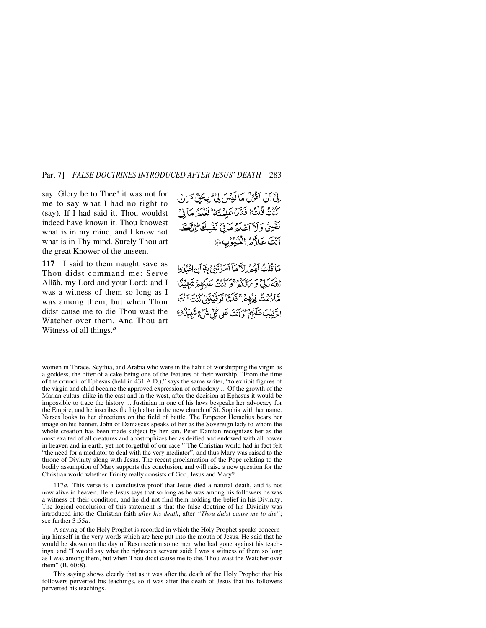say: Glory be to Thee! it was not for me to say what I had no right to (say). If I had said it, Thou wouldst indeed have known it. Thou knowest what is in my mind, and I know not what is in Thy mind. Surely Thou art the great Knower of the unseen.

**117** I said to them naught save as Thou didst command me: Serve Allåh, my Lord and your Lord; and I was a witness of them so long as I was among them, but when Thou didst cause me to die Thou wast the Watcher over them. And Thou art Witness of all things.*<sup>a</sup>*

لِيِّ أَنْ أَفَوْلَ مَا لَيْبَسَ فِي ْ بِيَحْقِ هِ إِنِّي كُنْتُ قُلْتُهُ فَعَلَ عَلِيْتَهُ عَلَيْهِ وَالْجَ نَفْسِيٌ وَلَاَ آَعَلَهُمْ مَانِيٌّ نَفْسِكَ إِنَّكَ آنْتَ عَلَّاكُمُ الْعُيُوْبِ ۞

مَا قُلْتُ لَهُمْ الدَّمَا أَمَرْتَنِيُّ بِهَ أَن اعْبُدُوا اللَّهَ رَبِّيٌّ وَسَهْلَكُمْ وَكُنْتُ عَلَيْهِمْ شَهِيْدًا مَّادُمُتُ فِيُهِمْ ۚ فَلَمَّا تَوَفَّيۡتِنِى لَنْتَ انْتَ الرَّقِيْبَ عَلَيْهِمْ تَوَ آَنْتَ عَلَىٰ كُلِّ شَيْءٍ شَهْيَنُّ @

women in Thrace, Scythia, and Arabia who were in the habit of worshipping the virgin as a goddess, the offer of a cake being one of the features of their worship. "From the time of the council of Ephesus (held in 431 A.D.)," says the same writer, "to exhibit figures of the virgin and child became the approved expression of orthodoxy ... Of the growth of the Marian cultus, alike in the east and in the west, after the decision at Ephesus it would be impossible to trace the history ... Justinian in one of his laws bespeaks her advocacy for the Empire, and he inscribes the high altar in the new church of St. Sophia with her name. Narses looks to her directions on the field of battle. The Emperor Heraclius bears her image on his banner. John of Damascus speaks of her as the Sovereign lady to whom the whole creation has been made subject by her son. Peter Damian recognizes her as the most exalted of all creatures and apostrophizes her as deified and endowed with all power in heaven and in earth, yet not forgetful of our race." The Christian world had in fact felt "the need for a mediator to deal with the very mediator", and thus Mary was raised to the throne of Divinity along with Jesus. The recent proclamation of the Pope relating to the bodily assumption of Mary supports this conclusion, and will raise a new question for the Christian world whether Trinity really consists of God, Jesus and Mary?

117*a*. This verse is a conclusive proof that Jesus died a natural death, and is not now alive in heaven. Here Jesus says that so long as he was among his followers he was a witness of their condition, and he did not find them holding the belief in his Divinity. The logical conclusion of this statement is that the false doctrine of his Divinity was introduced into the Christian faith *after his death*, after *"Thou didst cause me to die"*; see further 3:55*a*.

A saying of the Holy Prophet is recorded in which the Holy Prophet speaks concerning himself in the very words which are here put into the mouth of Jesus. He said that he would be shown on the day of Resurrection some men who had gone against his teachings, and "I would say what the righteous servant said: I was a witness of them so long as I was among them, but when Thou didst cause me to die, Thou wast the Watcher over them" (B. 60:8).

This saying shows clearly that as it was after the death of the Holy Prophet that his followers perverted his teachings, so it was after the death of Jesus that his followers perverted his teachings.